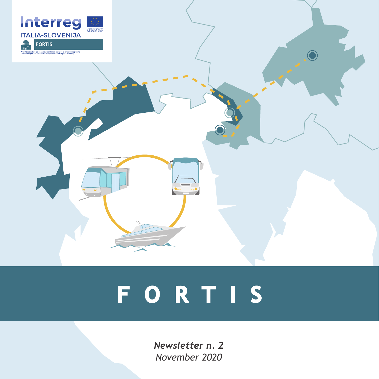

# **FORTIS**

*Newsletter n. 2 November 2020*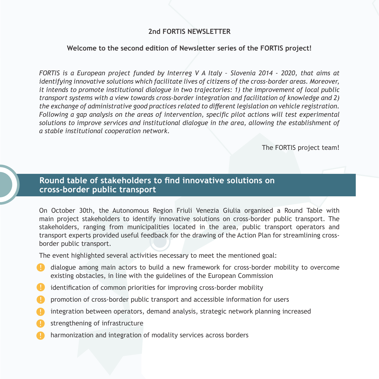### **2nd FORTIS NEWSLETTER**

#### **Welcome to the second edition of Newsletter series of the FORTIS project!**

*FORTIS is a European project funded by Interreg V A Italy – Slovenia 2014 - 2020, that aims at identifying innovative solutions which facilitate lives of citizens of the cross-border areas. Moreover, it intends to promote institutional dialogue in two trajectories: 1) the improvement of local public transport systems with a view towards cross-border integration and facilitation of knowledge and 2) the exchange of administrative good practices related to different legislation on vehicle registration. Following a gap analysis on the areas of intervention, specific pilot actions will test experimental solutions to improve services and institutional dialogue in the area, allowing the establishment of a stable institutional cooperation network.*

The FORTIS project team!

## **Round table of stakeholders to find innovative solutions on cross-border public transport**

On October 30th, the Autonomous Region Friuli Venezia Giulia organised a Round Table with main project stakeholders to identify innovative solutions on cross-border public transport. The stakeholders, ranging from municipalities located in the area, public transport operators and transport experts provided useful feedback for the drawing of the Action Plan for streamlining crossborder public transport.

The event highlighted several activities necessary to meet the mentioned goal:

- dialogue among main actors to build a new framework for cross-border mobility to overcome existing obstacles, in line with the guidelines of the European Commission
- **•** identification of common priorities for improving cross-border mobility
- promotion of cross-border public transport and accessible information for users
- integration between operators, demand analysis, strategic network planning increased
- **Strengthening of infrastructure**
- harmonization and integration of modality services across borders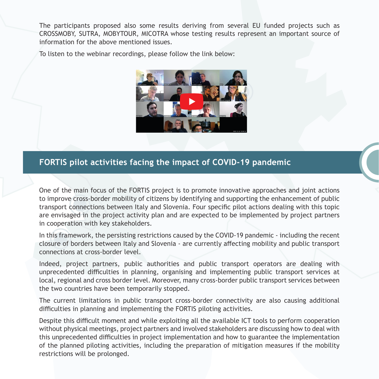The participants proposed also some results deriving from several EU funded projects such as CROSSMOBY, SUTRA, MOBYTOUR, MICOTRA whose testing results represent an important source of information for the above mentioned issues.

To listen to the webinar recordings, please follow the link below:



## **FORTIS pilot activities facing the impact of COVID-19 pandemic**

One of the main focus of the FORTIS project is to promote innovative approaches and joint actions to improve cross-border mobility of citizens by identifying and supporting the enhancement of public transport connections between Italy and Slovenia. Four specific pilot actions dealing with this topic are envisaged in the project activity plan and are expected to be implemented by project partners in cooperation with key stakeholders.

In this framework, the persisting restrictions caused by the COVID-19 pandemic - including the recent closure of borders between Italy and Slovenia - are currently affecting mobility and public transport connections at cross-border level.

Indeed, project partners, public authorities and public transport operators are dealing with unprecedented difficulties in planning, organising and implementing public transport services at local, regional and cross border level. Moreover, many cross-border public transport services between the two countries have been temporarily stopped.

The current limitations in public transport cross-border connectivity are also causing additional difficulties in planning and implementing the FORTIS piloting activities.

Despite this difficult moment and while exploiting all the available ICT tools to perform cooperation without physical meetings, project partners and involved stakeholders are discussing how to deal with this unprecedented difficulties in project implementation and how to guarantee the implementation of the planned piloting activities, including the preparation of mitigation measures if the mobility restrictions will be prolonged.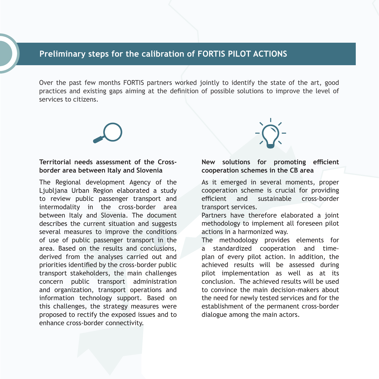### **Preliminary steps for the calibration of FORTIS PILOT ACTIONS**

Over the past few months FORTIS partners worked jointly to identify the state of the art, good practices and existing gaps aiming at the definition of possible solutions to improve the level of services to citizens.

#### **Territorial needs assessment of the Crossborder area between Italy and Slovenia**

The Regional development Agency of the Ljubljana Urban Region elaborated a study to review public passenger transport and intermodality in the cross-border area between Italy and Slovenia. The document describes the current situation and suggests several measures to improve the conditions of use of public passenger transport in the area. Based on the results and conclusions, derived from the analyses carried out and priorities identified by the cross-border public transport stakeholders, the main challenges concern public transport administration and organization, transport operations and information technology support. Based on this challenges, the strategy measures were proposed to rectify the exposed issues and to enhance cross-border connectivity.



#### **New solutions for promoting efficient cooperation schemes in the CB area**

As it emerged in several moments, proper cooperation scheme is crucial for providing efficient and sustainable cross-border transport services.

Partners have therefore elaborated a joint methodology to implement all foreseen pilot actions in a harmonized way.

The methodology provides elements for a standardized cooperation and timeplan of every pilot action. In addition, the achieved results will be assessed during pilot implementation as well as at its conclusion. The achieved results will be used to convince the main decision-makers about the need for newly tested services and for the establishment of the permanent cross-border dialogue among the main actors.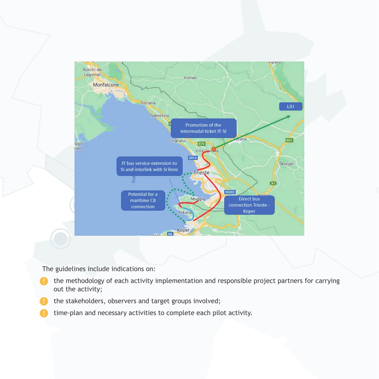

The guidelines include indications on:

- **•** the methodology of each activity implementation and responsible project partners for carrying out the activity;
- the stakeholders, observers and target groups involved;
- time-plan and necessary activities to complete each pilot activity.